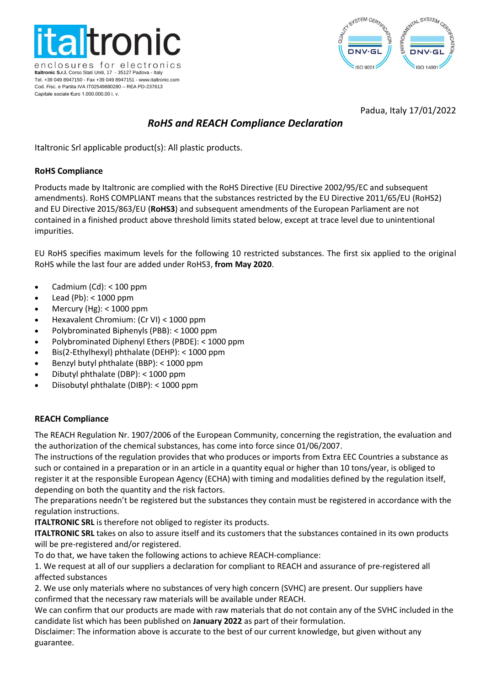



## Padua, Italy 17/01/2022

# *RoHS and REACH Compliance Declaration*

Italtronic Srl applicable product(s): All plastic products.

#### **RoHS Compliance**

Products made by Italtronic are complied with the RoHS Directive (EU Directive 2002/95/EC and subsequent amendments). RoHS COMPLIANT means that the substances restricted by the EU Directive 2011/65/EU (RoHS2) and EU Directive 2015/863/EU (**RoHS3**) and subsequent amendments of the European Parliament are not contained in a finished product above threshold limits stated below, except at trace level due to unintentional impurities.

EU RoHS specifies maximum levels for the following 10 restricted substances. The first six applied to the original RoHS while the last four are added under [RoHS3,](https://www.rohsguide.com/rohs3.htm) **from May 2020**.

- Cadmium  $(Cd): < 100$  ppm
- $\bullet$  Lead (Pb): < 1000 ppm
- Mercury (Hg): < 1000 ppm
- Hexavalent Chromium: (Cr VI) < 1000 ppm
- Polybrominated Biphenyls (PBB): < 1000 ppm
- Polybrominated Diphenyl Ethers (PBDE): < 1000 ppm
- Bis(2-Ethylhexyl) phthalate (DEHP): < 1000 ppm
- Benzyl butyl phthalate (BBP): < 1000 ppm
- Dibutyl phthalate (DBP): < 1000 ppm
- Diisobutyl phthalate (DIBP): < 1000 ppm

## **REACH Compliance**

The REACH Regulation Nr. 1907/2006 of the European Community, concerning the registration, the evaluation and the authorization of the chemical substances, has come into force since 01/06/2007.

The instructions of the regulation provides that who produces or imports from Extra EEC Countries a substance as such or contained in a preparation or in an article in a quantity equal or higher than 10 tons/year, is obliged to register it at the responsible European Agency (ECHA) with timing and modalities defined by the regulation itself, depending on both the quantity and the risk factors.

The preparations needn't be registered but the substances they contain must be registered in accordance with the regulation instructions.

**ITALTRONIC SRL** is therefore not obliged to register its products.

**ITALTRONIC SRL** takes on also to assure itself and its customers that the substances contained in its own products will be pre-registered and/or registered.

To do that, we have taken the following actions to achieve REACH-compliance:

1. We request at all of our suppliers a declaration for compliant to REACH and assurance of pre-registered all affected substances

2. We use only materials where no substances of very high concern (SVHC) are present. Our suppliers have confirmed that the necessary raw materials will be available under REACH.

We can confirm that our products are made with raw materials that do not contain any of the SVHC included in the candidate list which has been published on **January 2022** as part of their formulation.

Disclaimer: The information above is accurate to the best of our current knowledge, but given without any guarantee.